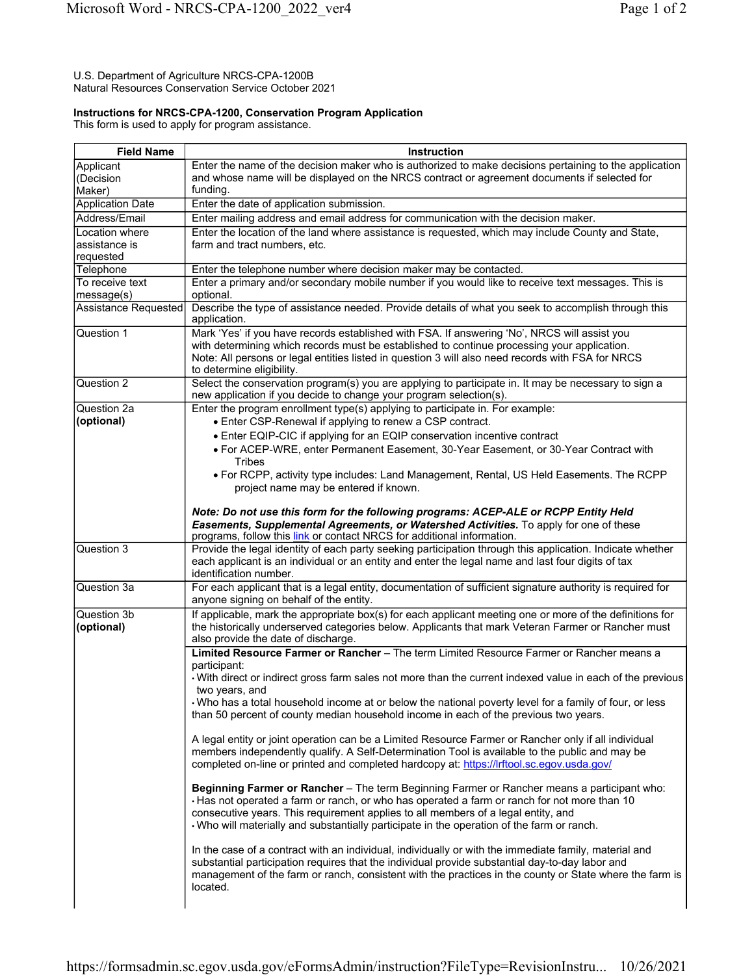## U.S. Department of Agriculture NRCS-CPA-1200B Natural Resources Conservation Service October 2021

## **Instructions for NRCS-CPA-1200, Conservation Program Application**

This form is used to apply for program assistance.

| <b>Field Name</b>            | <b>Instruction</b>                                                                                                                                                                                                     |
|------------------------------|------------------------------------------------------------------------------------------------------------------------------------------------------------------------------------------------------------------------|
| Applicant                    | Enter the name of the decision maker who is authorized to make decisions pertaining to the application                                                                                                                 |
| (Decision                    | and whose name will be displayed on the NRCS contract or agreement documents if selected for                                                                                                                           |
| Maker)                       | funding.                                                                                                                                                                                                               |
| <b>Application Date</b>      | Enter the date of application submission.                                                                                                                                                                              |
| Address/Email                | Enter mailing address and email address for communication with the decision maker.                                                                                                                                     |
| Location where               | Enter the location of the land where assistance is requested, which may include County and State,                                                                                                                      |
| assistance is                | farm and tract numbers, etc.                                                                                                                                                                                           |
| requested                    |                                                                                                                                                                                                                        |
| Telephone<br>To receive text | Enter the telephone number where decision maker may be contacted.<br>Enter a primary and/or secondary mobile number if you would like to receive text messages. This is                                                |
| message(s)                   | optional.                                                                                                                                                                                                              |
| <b>Assistance Requested</b>  | Describe the type of assistance needed. Provide details of what you seek to accomplish through this<br>application.                                                                                                    |
| Question 1                   | Mark 'Yes' if you have records established with FSA. If answering 'No', NRCS will assist you                                                                                                                           |
|                              | with determining which records must be established to continue processing your application.                                                                                                                            |
|                              | Note: All persons or legal entities listed in question 3 will also need records with FSA for NRCS<br>to determine eligibility.                                                                                         |
| Question 2                   | Select the conservation program(s) you are applying to participate in. It may be necessary to sign a<br>new application if you decide to change your program selection(s).                                             |
| Question 2a                  | Enter the program enrollment type(s) applying to participate in. For example:                                                                                                                                          |
| (optional)                   | • Enter CSP-Renewal if applying to renew a CSP contract.                                                                                                                                                               |
|                              | • Enter EQIP-CIC if applying for an EQIP conservation incentive contract                                                                                                                                               |
|                              | • For ACEP-WRE, enter Permanent Easement, 30-Year Easement, or 30-Year Contract with<br>Tribes                                                                                                                         |
|                              | . For RCPP, activity type includes: Land Management, Rental, US Held Easements. The RCPP                                                                                                                               |
|                              | project name may be entered if known.                                                                                                                                                                                  |
|                              | Note: Do not use this form for the following programs: ACEP-ALE or RCPP Entity Held                                                                                                                                    |
|                              | Easements, Supplemental Agreements, or Watershed Activities. To apply for one of these                                                                                                                                 |
|                              | programs, follow this link or contact NRCS for additional information.                                                                                                                                                 |
| Question 3                   | Provide the legal identity of each party seeking participation through this application. Indicate whether                                                                                                              |
|                              | each applicant is an individual or an entity and enter the legal name and last four digits of tax<br>identification number.                                                                                            |
| Question 3a                  | For each applicant that is a legal entity, documentation of sufficient signature authority is required for                                                                                                             |
|                              | anyone signing on behalf of the entity.                                                                                                                                                                                |
| Question 3b                  | If applicable, mark the appropriate box(s) for each applicant meeting one or more of the definitions for                                                                                                               |
| (optional)                   | the historically underserved categories below. Applicants that mark Veteran Farmer or Rancher must                                                                                                                     |
|                              | also provide the date of discharge.                                                                                                                                                                                    |
|                              | Limited Resource Farmer or Rancher - The term Limited Resource Farmer or Rancher means a                                                                                                                               |
|                              | participant:                                                                                                                                                                                                           |
|                              | . With direct or indirect gross farm sales not more than the current indexed value in each of the previous                                                                                                             |
|                              | two years, and<br>Who has a total household income at or below the national poverty level for a family of four, or less                                                                                                |
|                              | than 50 percent of county median household income in each of the previous two years.                                                                                                                                   |
|                              |                                                                                                                                                                                                                        |
|                              | A legal entity or joint operation can be a Limited Resource Farmer or Rancher only if all individual                                                                                                                   |
|                              | members independently qualify. A Self-Determination Tool is available to the public and may be                                                                                                                         |
|                              | completed on-line or printed and completed hardcopy at: https://lrftool.sc.egov.usda.gov/                                                                                                                              |
|                              | Beginning Farmer or Rancher - The term Beginning Farmer or Rancher means a participant who:                                                                                                                            |
|                              | Has not operated a farm or ranch, or who has operated a farm or ranch for not more than 10                                                                                                                             |
|                              | consecutive years. This requirement applies to all members of a legal entity, and                                                                                                                                      |
|                              | . Who will materially and substantially participate in the operation of the farm or ranch.                                                                                                                             |
|                              |                                                                                                                                                                                                                        |
|                              | In the case of a contract with an individual, individually or with the immediate family, material and                                                                                                                  |
|                              |                                                                                                                                                                                                                        |
|                              |                                                                                                                                                                                                                        |
|                              |                                                                                                                                                                                                                        |
|                              | substantial participation requires that the individual provide substantial day-to-day labor and<br>management of the farm or ranch, consistent with the practices in the county or State where the farm is<br>located. |